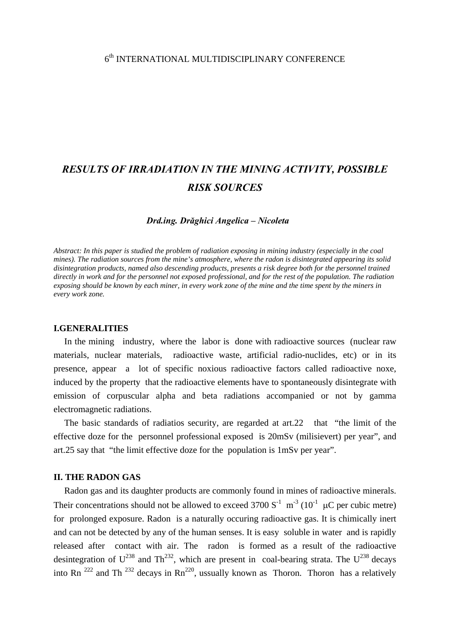## 6th INTERNATIONAL MULTIDISCIPLINARY CONFERENCE

# *RESULTS OF IRRADIATION IN THE MINING ACTIVITY, POSSIBLE RISK SOURCES*

#### *Drd.ing. Drăghici Angelica – Nicoleta*

*Abstract: In this paper is studied the problem of radiation exposing in mining industry (especially in the coal mines). The radiation sources from the mine's atmosphere, where the radon is disintegrated appearing its solid disintegration products, named also descending products, presents a risk degree both for the personnel trained directly in work and for the personnel not exposed professional, and for the rest of the population. The radiation exposing should be known by each miner, in every work zone of the mine and the time spent by the miners in every work zone.* 

#### **I.GENERALITIES**

In the mining industry, where the labor is done with radioactive sources (nuclear raw materials, nuclear materials, radioactive waste, artificial radio-nuclides, etc) or in its presence, appear a lot of specific noxious radioactive factors called radioactive noxe, induced by the property that the radioactive elements have to spontaneously disintegrate with emission of corpuscular alpha and beta radiations accompanied or not by gamma electromagnetic radiations.

The basic standards of radiatios security, are regarded at art.22 that "the limit of the effective doze for the personnel professional exposed is 20mSv (milisievert) per year", and art.25 say that "the limit effective doze for the population is 1mSv per year".

## **II. THE RADON GAS**

Radon gas and its daughter products are commonly found in mines of radioactive minerals. Their concentrations should not be allowed to exceed 3700  $S^{-1}$  m<sup>-3</sup> (10<sup>-1</sup> µC per cubic metre) for prolonged exposure. Radon is a naturally occuring radioactive gas. It is chimically inert and can not be detected by any of the human senses. It is easy soluble in water and is rapidly released after contact with air. The radon is formed as a result of the radioactive desintegration of  $U^{238}$  and Th<sup>232</sup>, which are present in coal-bearing strata. The  $U^{238}$  decays into Rn  $^{222}$  and Th  $^{232}$  decays in Rn<sup>220</sup>, ussually known as Thoron. Thoron has a relatively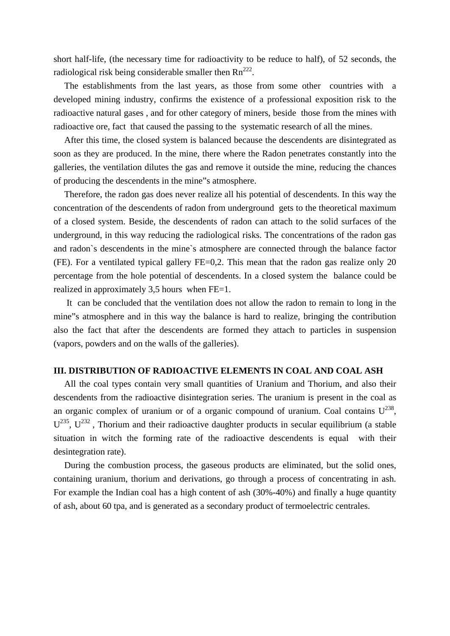short half-life, (the necessary time for radioactivity to be reduce to half), of 52 seconds, the radiological risk being considerable smaller then  $Rn^{222}$ .

The establishments from the last years, as those from some other countries with a developed mining industry, confirms the existence of a professional exposition risk to the radioactive natural gases , and for other category of miners, beside those from the mines with radioactive ore, fact that caused the passing to the systematic research of all the mines.

After this time, the closed system is balanced because the descendents are disintegrated as soon as they are produced. In the mine, there where the Radon penetrates constantly into the galleries, the ventilation dilutes the gas and remove it outside the mine, reducing the chances of producing the descendents in the mine"s atmosphere.

Therefore, the radon gas does never realize all his potential of descendents. In this way the concentration of the descendents of radon from underground gets to the theoretical maximum of a closed system. Beside, the descendents of radon can attach to the solid surfaces of the underground, in this way reducing the radiological risks. The concentrations of the radon gas and radon`s descendents in the mine`s atmosphere are connected through the balance factor (FE). For a ventilated typical gallery FE=0,2. This mean that the radon gas realize only 20 percentage from the hole potential of descendents. In a closed system the balance could be realized in approximately 3,5 hours when FE=1.

 It can be concluded that the ventilation does not allow the radon to remain to long in the mine"s atmosphere and in this way the balance is hard to realize, bringing the contribution also the fact that after the descendents are formed they attach to particles in suspension (vapors, powders and on the walls of the galleries).

## **III. DISTRIBUTION OF RADIOACTIVE ELEMENTS IN COAL AND COAL ASH**

All the coal types contain very small quantities of Uranium and Thorium, and also their descendents from the radioactive disintegration series. The uranium is present in the coal as an organic complex of uranium or of a organic compound of uranium. Coal contains  $U^{238}$ .  $U^{235}$ ,  $U^{232}$ , Thorium and their radioactive daughter products in secular equilibrium (a stable situation in witch the forming rate of the radioactive descendents is equal with their desintegration rate).

During the combustion process, the gaseous products are eliminated, but the solid ones, containing uranium, thorium and derivations, go through a process of concentrating in ash. For example the Indian coal has a high content of ash (30%-40%) and finally a huge quantity of ash, about 60 tpa, and is generated as a secondary product of termoelectric centrales.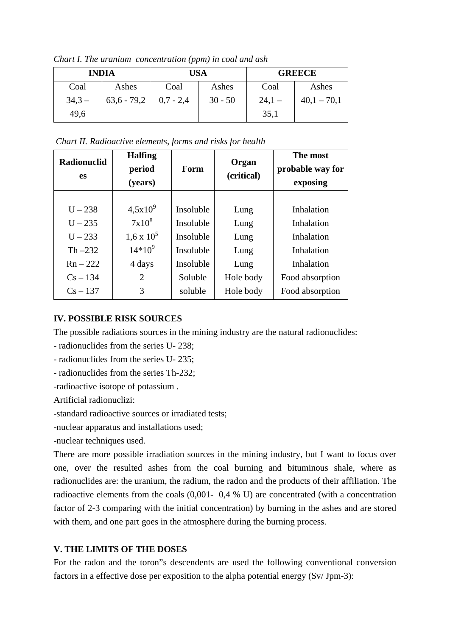| <b>INDIA</b> |               | <b>USA</b>  |           | <b>GREECE</b> |               |  |  |  |
|--------------|---------------|-------------|-----------|---------------|---------------|--|--|--|
| Coal         | Ashes         | Coal        | Ashes     | Coal          | Ashes         |  |  |  |
| $34,3-$      | $63,6 - 79,2$ | $0,7 - 2,4$ | $30 - 50$ | $24,1-$       | $40,1 - 70,1$ |  |  |  |
| 49,6         |               |             |           | 35,1          |               |  |  |  |

*Chart I. The uranium concentration (ppm) in coal and ash* 

 *Chart II. Radioactive elements, forms and risks for health* 

| <b>Radionuclid</b><br><b>es</b> | <b>Halfing</b><br>period<br>(years) | Form      | Organ<br>(critical) | The most<br>probable way for<br>exposing |
|---------------------------------|-------------------------------------|-----------|---------------------|------------------------------------------|
|                                 |                                     |           |                     |                                          |
| $U - 238$                       | $4,5x10^{9}$                        | Insoluble | Lung                | Inhalation                               |
| $U - 235$                       | $7x10^8$                            | Insoluble | Lung                | Inhalation                               |
| $U - 233$                       | $1,6 \times 10^5$                   | Insoluble | Lung                | Inhalation                               |
| Th $-232$                       | $14*10^{9}$                         | Insoluble | Lung                | Inhalation                               |
| $Rn - 222$                      | 4 days                              | Insoluble | Lung                | Inhalation                               |
| $Cs - 134$                      | $\overline{2}$                      | Soluble   | Hole body           | Food absorption                          |
| $Cs - 137$                      | 3                                   | soluble   | Hole body           | Food absorption                          |

# **IV. POSSIBLE RISK SOURCES**

The possible radiations sources in the mining industry are the natural radionuclides:

- radionuclides from the series U- 238;

- radionuclides from the series U- 235;

- radionuclides from the series Th-232;

-radioactive isotope of potassium .

Artificial radionuclizi:

-standard radioactive sources or irradiated tests;

-nuclear apparatus and installations used;

-nuclear techniques used.

There are more possible irradiation sources in the mining industry, but I want to focus over one, over the resulted ashes from the coal burning and bituminous shale, where as radionuclides are: the uranium, the radium, the radon and the products of their affiliation. The radioactive elements from the coals (0,001- 0,4 % U) are concentrated (with a concentration factor of 2-3 comparing with the initial concentration) by burning in the ashes and are stored with them, and one part goes in the atmosphere during the burning process.

# **V. THE LIMITS OF THE DOSES**

For the radon and the toron"s descendents are used the following conventional conversion factors in a effective dose per exposition to the alpha potential energy (Sv/ Jpm-3):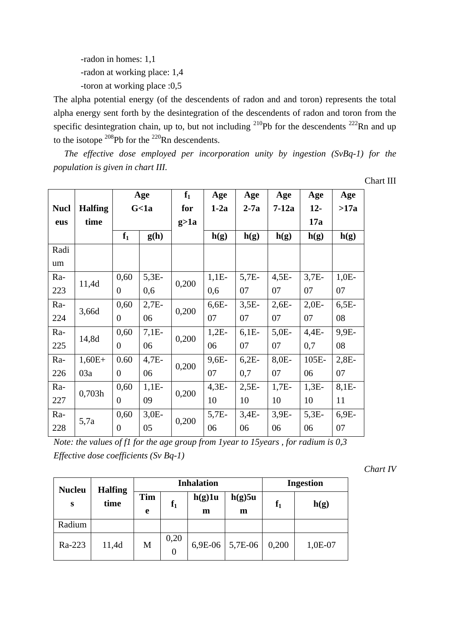-radon in homes: 1,1 -radon at working place: 1,4 -toron at working place :0,5

The alpha potential energy (of the descendents of radon and and toron) represents the total alpha energy sent forth by the desintegration of the descendents of radon and toron from the specific desintegration chain, up to, but not including  $^{210}Pb$  for the descendents  $^{222}Rn$  and up to the isotope  $^{208}$ Pb for the  $^{220}$ Rn descendents.

*The effective dose employed per incorporation unity by ingestion (SvBq-1) for the population is given in chart III.* 

Chart III

|             |                |                  | Age     | $f_1$  | Age     | Age     | Age     | Age     | Age     |
|-------------|----------------|------------------|---------|--------|---------|---------|---------|---------|---------|
| <b>Nucl</b> | <b>Halfing</b> | G <sub>1a</sub>  |         | for    | $1-2a$  | $2-7a$  | $7-12a$ | $12-$   | >17a    |
| eus         | time           |                  |         | g > 1a |         |         |         | 17a     |         |
|             |                | $f_1$            | g(h)    |        | h(g)    | h(g)    | h(g)    | h(g)    | h(g)    |
| Radi        |                |                  |         |        |         |         |         |         |         |
| um          |                |                  |         |        |         |         |         |         |         |
| Ra-         | 11,4d          | 0,60             | $5,3E-$ | 0,200  | $1,1E-$ | $5,7E-$ | $4,5E-$ | $3,7E-$ | $1,0E-$ |
| 223         |                | $\overline{0}$   | 0,6     |        | 0,6     | 07      | 07      | 07      | 07      |
| Ra-         |                | 0,60             | $2,7E-$ | 0,200  | $6,6E-$ | $3,5E-$ | $2,6E-$ | $2,0E-$ | $6,5E-$ |
| 224         | 3,66d          | $\overline{0}$   | 06      |        | 07      | 07      | 07      | 07      | 08      |
| Ra-         | 14,8d          | 0,60             | $7,1E-$ | 0,200  | $1,2E-$ | $6,1E-$ | $5,0E-$ | $4,4E-$ | 9,9E-   |
| 225         |                | $\overline{0}$   | 06      |        | 06      | 07      | 07      | 0,7     | 08      |
| Ra-         | $1,60E+$       | 0.60             | $4,7E-$ | 0,200  | $9,6E-$ | $6,2E-$ | 8,0E-   | 105E-   | $2,8E-$ |
| 226         | 03a            | $\overline{0}$   | 06      |        | 07      | 0,7     | 07      | 06      | 07      |
| Ra-         | 0,703h         | 0,60             | $1,1E-$ | 0,200  | $4,3E-$ | $2,5E-$ | $1,7E-$ | $1,3E-$ | $8,1E-$ |
| 227         |                | $\overline{0}$   | 09      |        | 10      | 10      | 10      | 10      | 11      |
| Ra-         |                | 0,60             | $3,0E-$ | 0,200  | $5,7E-$ | $3,4E-$ | 3,9E-   | $5,3E-$ | $6,9E-$ |
| 228         | 5,7a           | $\boldsymbol{0}$ | 05      |        | 06      | 06      | 06      | 06      | 07      |

*Note: the values of f1 for the age group from 1year to 15years , for radium is 0,3 Effective dose coefficients (Sv Bq-1)* 

*Chart IV* 

| <b>Halfing</b><br><b>Nucleu</b> |       | <b>Inhalation</b> |                        |             |             | <b>Ingestion</b> |         |
|---------------------------------|-------|-------------------|------------------------|-------------|-------------|------------------|---------|
| S                               | time  | Tim<br>e          | ${\bf f_1}$            | h(g)1u<br>m | h(g)5u<br>m | ${\bf f_1}$      | h(g)    |
| Radium                          |       |                   |                        |             |             |                  |         |
| Ra-223                          | 11,4d | M                 | 0,20<br>$\overline{0}$ | 6,9E-06     | 5,7E-06     | 0,200            | 1,0E-07 |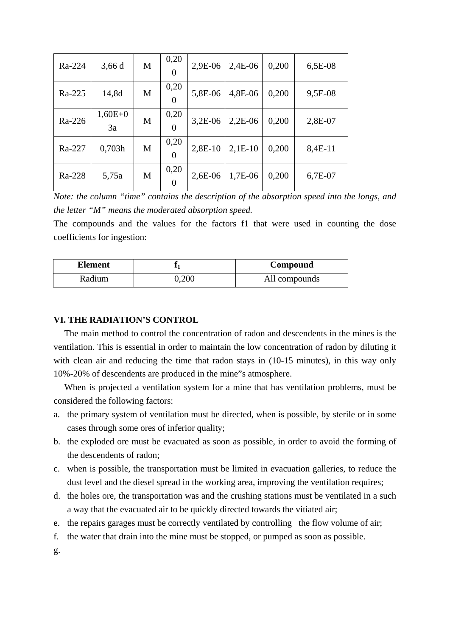| Ra-224 | 3,66d           | M | 0,20<br>$\overline{0}$ | 2,9E-06   | 2,4E-06   | 0,200 | 6,5E-08 |
|--------|-----------------|---|------------------------|-----------|-----------|-------|---------|
| Ra-225 | 14,8d           | M | 0,20<br>$\overline{0}$ | 5,8E-06   | 4,8E-06   | 0,200 | 9,5E-08 |
| Ra-226 | $1,60E+0$<br>3a | M | 0,20<br>$\Omega$       | $3,2E-06$ | $2,2E-06$ | 0,200 | 2,8E-07 |
| Ra-227 | 0,703h          | M | 0,20<br>$\overline{0}$ | 2,8E-10   | $2,1E-10$ | 0,200 | 8,4E-11 |
| Ra-228 | 5,75a           | M | 0,20<br>$\overline{0}$ | 2,6E-06   | 1,7E-06   | 0,200 | 6,7E-07 |

*Note: the column "time" contains the description of the absorption speed into the longs, and the letter "M" means the moderated absorption speed.* 

The compounds and the values for the factors f1 that were used in counting the dose coefficients for ingestion:

| Element |       | Compound      |
|---------|-------|---------------|
| Radium  | 0.200 | All compounds |

## **VI. THE RADIATION'S CONTROL**

The main method to control the concentration of radon and descendents in the mines is the ventilation. This is essential in order to maintain the low concentration of radon by diluting it with clean air and reducing the time that radon stays in (10-15 minutes), in this way only 10%-20% of descendents are produced in the mine"s atmosphere.

When is projected a ventilation system for a mine that has ventilation problems, must be considered the following factors:

- a. the primary system of ventilation must be directed, when is possible, by sterile or in some cases through some ores of inferior quality;
- b. the exploded ore must be evacuated as soon as possible, in order to avoid the forming of the descendents of radon;
- c. when is possible, the transportation must be limited in evacuation galleries, to reduce the dust level and the diesel spread in the working area, improving the ventilation requires;
- d. the holes ore, the transportation was and the crushing stations must be ventilated in a such a way that the evacuated air to be quickly directed towards the vitiated air;
- e. the repairs garages must be correctly ventilated by controlling the flow volume of air;
- f. the water that drain into the mine must be stopped, or pumped as soon as possible.
- g.